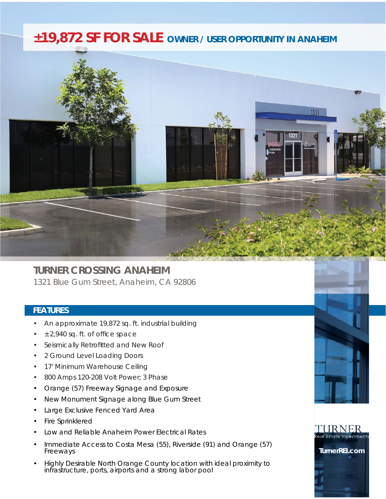## *±19,872 SF FOR SALE OWNER / USER OPPORTUNITY IN ANAHEIM*



## **TURNER CROSSING ANAHEIM**  1321 Blue Gum Street, Anaheim, CA 92806

## **FEATURES**

- An approximate 19,872 sq. ft. industrial building
- $±$  2,940 sq. ft. of office space
- Seismically Retrofitted and New Roof
- 2 Ground Level Loading Doors
- 17' Minimum Warehouse Ceiling
- 800 Amps 120-208 Volt Power; 3 Phase
- Orange (57) Freeway Signage and Exposure
- New Monument Signage along Blue Gum Street
- Large Exclusive Fenced Yard Area
- Fire Sprinklered
- Low and Reliable Anaheim Power Electrical Rates
- Immediate Access to Costa Mesa (55), Riverside (91) and Orange (57) Freeways
- Highly Desirable North Orange County location with ideal proximity to infrastructure, ports, airports and a strong labor pool





**TurnerREI.com**